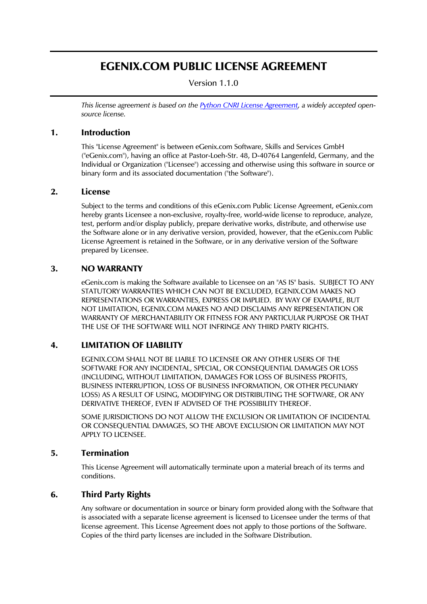# EGENIX.COM PUBLIC LICENSE AGREEMENT

Version 1.1.0

*This license agreement is based on the [Python CNRI License Agreement](http://www.opensource.org/licenses/pythonpl.php), a widely accepted opensource license.* 

### 1. Introduction

This "License Agreement" is between eGenix.com Software, Skills and Services GmbH ("eGenix.com"), having an office at Pastor-Loeh-Str. 48, D-40764 Langenfeld, Germany, and the Individual or Organization ("Licensee") accessing and otherwise using this software in source or binary form and its associated documentation ("the Software").

### 2. License

Subject to the terms and conditions of this eGenix.com Public License Agreement, eGenix.com hereby grants Licensee a non-exclusive, royalty-free, world-wide license to reproduce, analyze, test, perform and/or display publicly, prepare derivative works, distribute, and otherwise use the Software alone or in any derivative version, provided, however, that the eGenix.com Public License Agreement is retained in the Software, or in any derivative version of the Software prepared by Licensee.

#### 3. NO WARRANTY

eGenix.com is making the Software available to Licensee on an "AS IS" basis. SUBJECT TO ANY STATUTORY WARRANTIES WHICH CAN NOT BE EXCLUDED, EGENIX.COM MAKES NO REPRESENTATIONS OR WARRANTIES, EXPRESS OR IMPLIED. BY WAY OF EXAMPLE, BUT NOT LIMITATION, EGENIX.COM MAKES NO AND DISCLAIMS ANY REPRESENTATION OR WARRANTY OF MERCHANTABILITY OR FITNESS FOR ANY PARTICULAR PURPOSE OR THAT THE USE OF THE SOFTWARE WILL NOT INFRINGE ANY THIRD PARTY RIGHTS.

### 4. LIMITATION OF LIABILITY

EGENIX.COM SHALL NOT BE LIABLE TO LICENSEE OR ANY OTHER USERS OF THE SOFTWARE FOR ANY INCIDENTAL, SPECIAL, OR CONSEQUENTIAL DAMAGES OR LOSS (INCLUDING, WITHOUT LIMITATION, DAMAGES FOR LOSS OF BUSINESS PROFITS, BUSINESS INTERRUPTION, LOSS OF BUSINESS INFORMATION, OR OTHER PECUNIARY LOSS) AS A RESULT OF USING, MODIFYING OR DISTRIBUTING THE SOFTWARE, OR ANY DERIVATIVE THEREOF, EVEN IF ADVISED OF THE POSSIBILITY THEREOF.

SOME JURISDICTIONS DO NOT ALLOW THE EXCLUSION OR LIMITATION OF INCIDENTAL OR CONSEQUENTIAL DAMAGES, SO THE ABOVE EXCLUSION OR LIMITATION MAY NOT APPLY TO LICENSEE.

#### 5. Termination

This License Agreement will automatically terminate upon a material breach of its terms and conditions.

## 6. Third Party Rights

Any software or documentation in source or binary form provided along with the Software that is associated with a separate license agreement is licensed to Licensee under the terms of that license agreement. This License Agreement does not apply to those portions of the Software. Copies of the third party licenses are included in the Software Distribution.